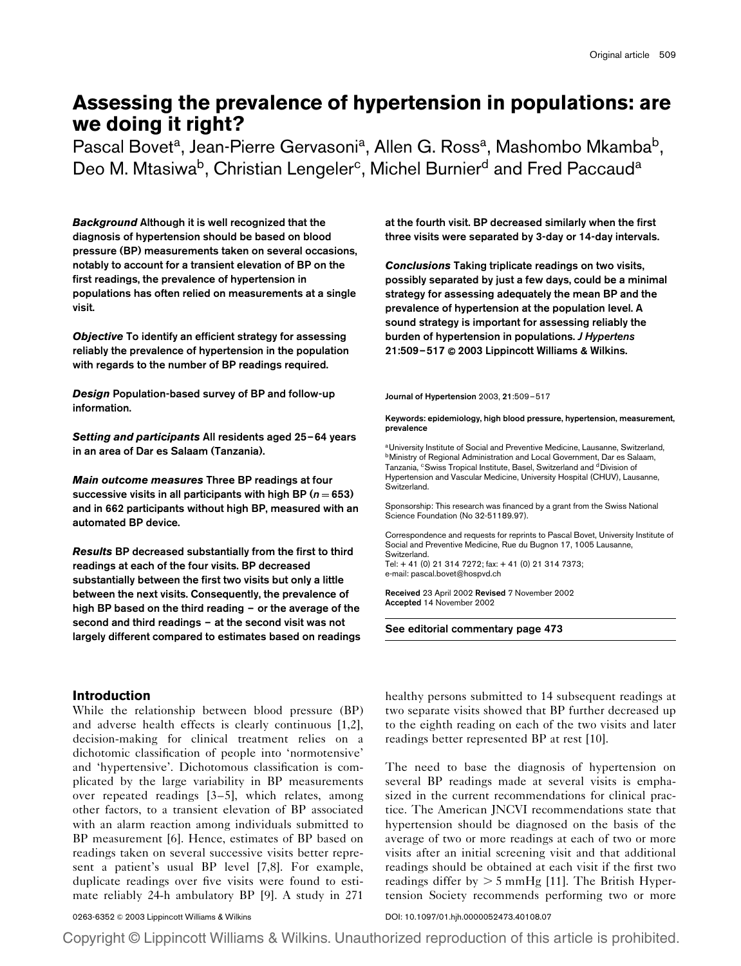# Assessing the prevalence of hypertension in populations: are we doing it right?

Pascal Bovet<sup>a</sup>, Jean-Pierre Gervasoni<sup>a</sup>, Allen G. Ross<sup>a</sup>, Mashombo Mkamba<sup>b</sup>, Deo M. Mtasiwa<sup>b</sup>, Christian Lengeler<sup>c</sup>, Michel Burnier<sup>d</sup> and Fred Paccaud<sup>a</sup>

Background Although it is well recognized that the diagnosis of hypertension should be based on blood pressure (BP) measurements taken on several occasions, notably to account for a transient elevation of BP on the first readings, the prevalence of hypertension in populations has often relied on measurements at a single visit.

Objective To identify an efficient strategy for assessing reliably the prevalence of hypertension in the population with regards to the number of BP readings required.

Design Population-based survey of BP and follow-up information.

Setting and participants All residents aged 25–64 years in an area of Dar es Salaam (Tanzania).

Main outcome measures Three BP readings at four successive visits in all participants with high BP ( $n = 653$ ) and in 662 participants without high BP, measured with an automated BP device.

Results BP decreased substantially from the first to third readings at each of the four visits. BP decreased substantially between the first two visits but only a little between the next visits. Consequently, the prevalence of high BP based on the third reading – or the average of the second and third readings – at the second visit was not largely different compared to estimates based on readings

## at the fourth visit. BP decreased similarly when the first three visits were separated by 3-day or 14-day intervals.

Conclusions Taking triplicate readings on two visits, possibly separated by just a few days, could be a minimal strategy for assessing adequately the mean BP and the prevalence of hypertension at the population level. A sound strategy is important for assessing reliably the burden of hypertension in populations. J Hypertens 21:509–517 & 2003 Lippincott Williams & Wilkins.

Journal of Hypertension 2003, 21:509–517

#### Keywords: epidemiology, high blood pressure, hypertension, measurement, prevalence

aUniversity Institute of Social and Preventive Medicine, Lausanne, Switzerland, **bMinistry of Regional Administration and Local Government, Dar es Salaam,** Tanzania, <sup>c</sup>Swiss Tropical Institute, Basel, Switzerland and <sup>d</sup>Division of Hypertension and Vascular Medicine, University Hospital (CHUV), Lausanne, Switzerland.

Sponsorship: This research was financed by a grant from the Swiss National Science Foundation (No 32-51189.97).

Correspondence and requests for reprints to Pascal Bovet, University Institute of Social and Preventive Medicine, Rue du Bugnon 17, 1005 Lausanne, Switzerland. Tel: + 41 (0) 21 314 7272; fax: + 41 (0) 21 314 7373; e-mail: pascal.bovet@hospvd.ch

Received 23 April 2002 Revised 7 November 2002 Accepted 14 November 2002

See editorial commentary page 473

#### Introduction

While the relationship between blood pressure (BP) and adverse health effects is clearly continuous [\[1,2\]](#page-7-0), decision-making for clinical treatment relies on a dichotomic classification of people into 'normotensive' and 'hypertensive'. Dichotomous classification is complicated by the large variability in BP measurements over repeated readings [\[3–5\]](#page-7-0), which relates, among other factors, to a transient elevation of BP associated with an alarm reaction among individuals submitted to BP measurement [\[6\]](#page-7-0). Hence, estimates of BP based on readings taken on several successive visits better represent a patient's usual BP level [\[7,8\]](#page-7-0). For example, duplicate readings over five visits were found to estimate reliably 24-h ambulatory BP [\[9\]](#page-7-0). A study in 271

healthy persons submitted to 14 subsequent readings at two separate visits showed that BP further decreased up to the eighth reading on each of the two visits and later readings better represented BP at rest [\[10\]](#page-7-0).

The need to base the diagnosis of hypertension on several BP readings made at several visits is emphasized in the current recommendations for clinical practice. The American JNCVI recommendations state that hypertension should be diagnosed on the basis of the average of two or more readings at each of two or more visits after an initial screening visit and that additional readings should be obtained at each visit if the first two readings differ by  $> 5$  mmHg [\[11\]](#page-7-0). The British Hypertension Society recommends performing two or more

0263-6352 @ 2003 Lippincott Williams & Wilkins **DOI: 10.1097/01.hjh.0000052473.40108.07** 

Copyright © Lippincott Williams & Wilkins. Unauthorized reproduction of this article is prohibited.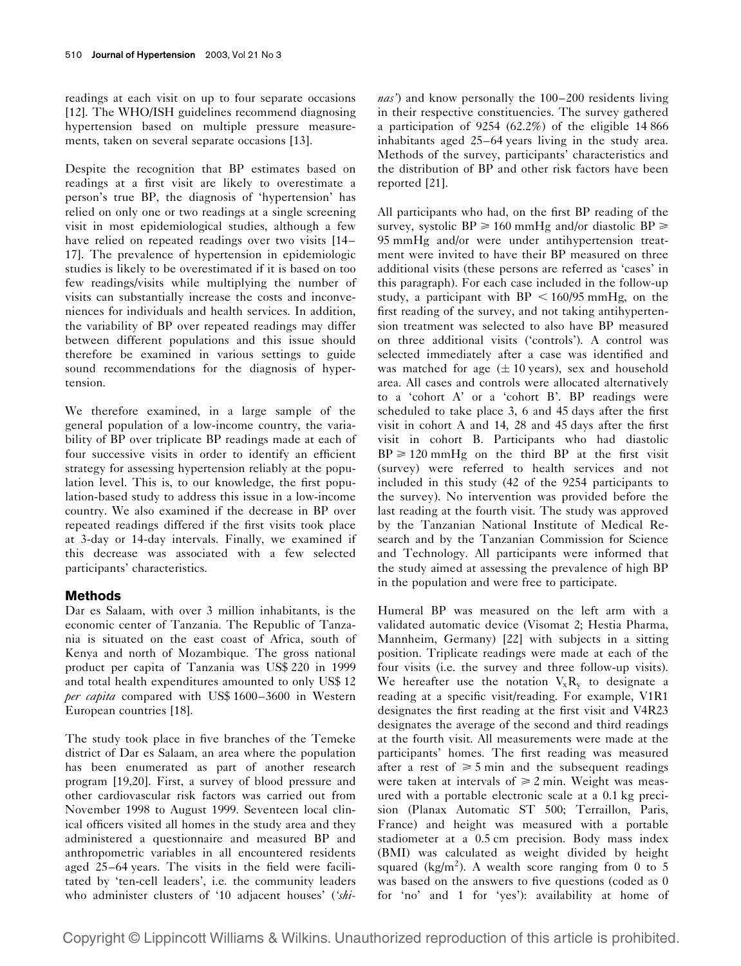readings at each visit on up to four separate occasions [\[12\]](#page-7-0). The WHO/ISH guidelines recommend diagnosing hypertension based on multiple pressure measurements, taken on several separate occasions [\[13\]](#page-7-0).

Despite the recognition that BP estimates based on readings at a first visit are likely to overestimate a person's true BP, the diagnosis of 'hypertension' has relied on only one or two readings at a single screening visit in most epidemiological studies, although a few have relied on repeated readings over two visits [\[14–](#page-7-0) [17\].](#page-7-0) The prevalence of hypertension in epidemiologic studies is likely to be overestimated if it is based on too few readings/visits while multiplying the number of visits can substantially increase the costs and inconveniences for individuals and health services. In addition, the variability of BP over repeated readings may differ between different populations and this issue should therefore be examined in various settings to guide sound recommendations for the diagnosis of hypertension.

We therefore examined, in a large sample of the general population of a low-income country, the variability of BP over triplicate BP readings made at each of four successive visits in order to identify an efficient strategy for assessing hypertension reliably at the population level. This is, to our knowledge, the first population-based study to address this issue in a low-income country. We also examined if the decrease in BP over repeated readings differed if the first visits took place at 3-day or 14-day intervals. Finally, we examined if this decrease was associated with a few selected participants' characteristics.

## Methods

Dar es Salaam, with over 3 million inhabitants, is the economic center of Tanzania. The Republic of Tanzania is situated on the east coast of Africa, south of Kenya and north of Mozambique. The gross national product per capita of Tanzania was US\$ 220 in 1999 and total health expenditures amounted to only US\$ 12 per capita compared with US\$ 1600–3600 in Western European countries [\[18\]](#page-7-0).

The study took place in five branches of the Temeke district of Dar es Salaam, an area where the population has been enumerated as part of another research program [\[19,20\].](#page-7-0) First, a survey of blood pressure and other cardiovascular risk factors was carried out from November 1998 to August 1999. Seventeen local clinical officers visited all homes in the study area and they administered a questionnaire and measured BP and anthropometric variables in all encountered residents aged 25–64 years. The visits in the field were facilitated by 'ten-cell leaders', i.e. the community leaders who administer clusters of '10 adjacent houses' ('shinas') and know personally the 100–200 residents living in their respective constituencies. The survey gathered a participation of 9254 (62.2%) of the eligible 14 866 inhabitants aged 25–64 years living in the study area. Methods of the survey, participants' characteristics and the distribution of BP and other risk factors have been reported [\[21\]](#page-7-0).

All participants who had, on the first BP reading of the survey, systolic  $BP \ge 160$  mmHg and/or diastolic  $BP \ge 160$ 95 mmHg and/or were under antihypertension treatment were invited to have their BP measured on three additional visits (these persons are referred as 'cases' in this paragraph). For each case included in the follow-up study, a participant with  $BP < 160/95$  mmHg, on the first reading of the survey, and not taking antihypertension treatment was selected to also have BP measured on three additional visits ('controls'). A control was selected immediately after a case was identified and was matched for age  $(\pm 10 \text{ years})$ , sex and household area. All cases and controls were allocated alternatively to a 'cohort A' or a 'cohort B'. BP readings were scheduled to take place 3, 6 and 45 days after the first visit in cohort A and 14, 28 and 45 days after the first visit in cohort B. Participants who had diastolic  $BP \ge 120$  mmHg on the third BP at the first visit (survey) were referred to health services and not included in this study (42 of the 9254 participants to the survey). No intervention was provided before the last reading at the fourth visit. The study was approved by the Tanzanian National Institute of Medical Research and by the Tanzanian Commission for Science and Technology. All participants were informed that the study aimed at assessing the prevalence of high BP in the population and were free to participate.

Humeral BP was measured on the left arm with a validated automatic device (Visomat 2; Hestia Pharma, Mannheim, Germany) [\[22\]](#page-7-0) with subjects in a sitting position. Triplicate readings were made at each of the four visits (i.e. the survey and three follow-up visits). We hereafter use the notation  $V_xR_y$  to designate a reading at a specific visit/reading. For example, V1R1 designates the first reading at the first visit and V4R23 designates the average of the second and third readings at the fourth visit. All measurements were made at the participants' homes. The first reading was measured after a rest of  $\geq 5$  min and the subsequent readings were taken at intervals of  $\geq 2$  min. Weight was measured with a portable electronic scale at a 0.1 kg precision (Planax Automatic ST 500; Terraillon, Paris, France) and height was measured with a portable stadiometer at a 0.5 cm precision. Body mass index (BMI) was calculated as weight divided by height squared (kg/m<sup>2</sup>). A wealth score ranging from 0 to 5 was based on the answers to five questions (coded as 0 for 'no' and 1 for 'yes'): availability at home of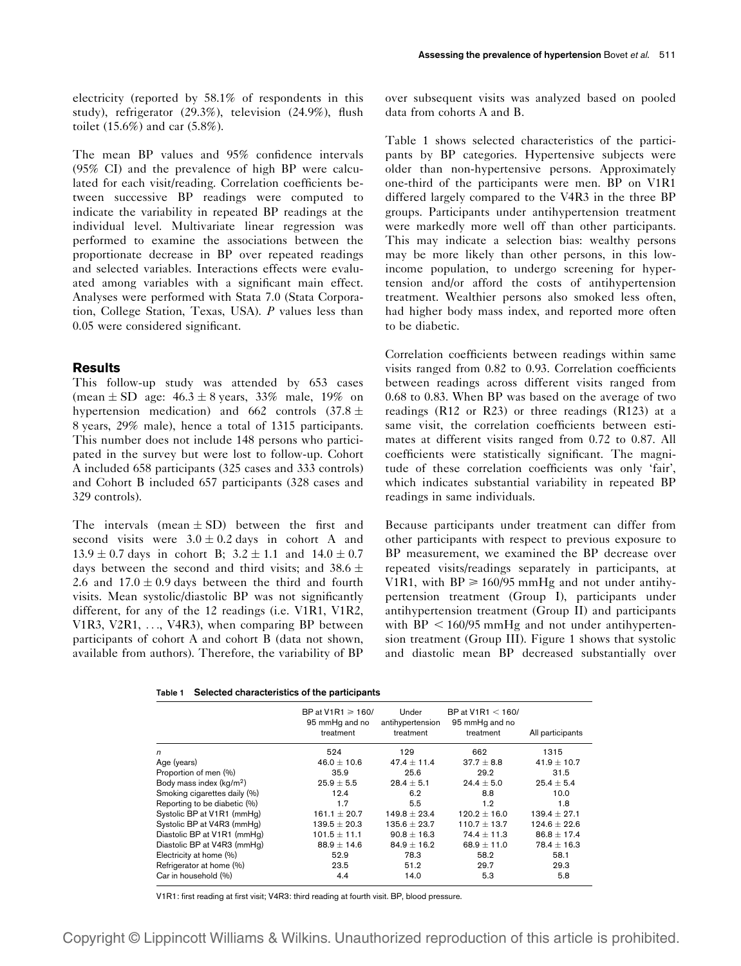electricity (reported by 58.1% of respondents in this study), refrigerator (29.3%), television (24.9%), flush toilet (15.6%) and car (5.8%).

The mean BP values and 95% confidence intervals (95% CI) and the prevalence of high BP were calculated for each visit/reading. Correlation coefficients between successive BP readings were computed to indicate the variability in repeated BP readings at the individual level. Multivariate linear regression was performed to examine the associations between the proportionate decrease in BP over repeated readings and selected variables. Interactions effects were evaluated among variables with a significant main effect. Analyses were performed with Stata 7.0 (Stata Corporation, College Station, Texas, USA). P values less than 0.05 were considered significant.

#### **Results**

This follow-up study was attended by 653 cases (mean  $\pm$  SD age:  $46.3 \pm 8$  years,  $33\%$  male,  $19\%$  on hypertension medication) and 662 controls  $(37.8 \pm$ 8 years, 29% male), hence a total of 1315 participants. This number does not include 148 persons who participated in the survey but were lost to follow-up. Cohort A included 658 participants (325 cases and 333 controls) and Cohort B included 657 participants (328 cases and 329 controls).

The intervals (mean  $\pm$  SD) between the first and second visits were  $3.0 \pm 0.2$  days in cohort A and  $13.9 \pm 0.7$  days in cohort B;  $3.2 \pm 1.1$  and  $14.0 \pm 0.7$ days between the second and third visits; and  $38.6 \pm$ 2.6 and  $17.0 \pm 0.9$  days between the third and fourth visits. Mean systolic/diastolic BP was not significantly different, for any of the 12 readings (i.e. V1R1, V1R2, V1R3, V2R1, ..., V4R3), when comparing BP between participants of cohort A and cohort B (data not shown, available from authors). Therefore, the variability of BP

| Table 1 Selected characteristics of the participants |  |
|------------------------------------------------------|--|
|                                                      |  |

|                                      | BP at $V1R1 \ge 160/$<br>95 mmHq and no<br>treatment | Under<br>antihypertension<br>treatment | BP at $V1R1 < 160/$<br>95 mmHg and no<br>treatment | All participants |  |  |
|--------------------------------------|------------------------------------------------------|----------------------------------------|----------------------------------------------------|------------------|--|--|
| n                                    | 524                                                  | 129                                    | 662                                                | 1315             |  |  |
| Age (years)                          | $46.0 \pm 10.6$                                      | $47.4 \pm 11.4$                        | $37.7 \pm 8.8$                                     | $41.9 \pm 10.7$  |  |  |
| Proportion of men (%)                | 35.9                                                 | 25.6                                   | 29.2                                               | 31.5             |  |  |
| Body mass index (kg/m <sup>2</sup> ) | $25.9 \pm 5.5$                                       | $28.4 \pm 5.1$                         | $24.4 + 5.0$                                       | $25.4 \pm 5.4$   |  |  |
| Smoking cigarettes daily (%)         | 12.4                                                 | 6.2                                    | 8.8                                                | 10.0             |  |  |
| Reporting to be diabetic (%)         | 1.7                                                  | 5.5                                    | 1.2                                                | 1.8              |  |  |
| Systolic BP at V1R1 (mmHq)           | $161.1 \pm 20.7$                                     | $149.8 + 23.4$                         | $120.2 + 16.0$                                     | $139.4 \pm 27.1$ |  |  |
| Systolic BP at V4R3 (mmHq)           | $139.5 \pm 20.3$                                     | $135.6 \pm 23.7$                       | $110.7 \pm 13.7$                                   | $124.6 \pm 22.6$ |  |  |
| Diastolic BP at V1R1 (mmHg)          | $101.5 \pm 11.1$                                     | $90.8 \pm 16.3$                        | $74.4 \pm 11.3$                                    | $86.8 \pm 17.4$  |  |  |
| Diastolic BP at V4R3 (mmHg)          | $88.9 \pm 14.6$                                      | $84.9 \pm 16.2$                        | $68.9 \pm 11.0$                                    | $78.4 \pm 16.3$  |  |  |
| Electricity at home (%)              | 52.9                                                 | 78.3                                   | 58.2                                               | 58.1             |  |  |
| Refrigerator at home (%)             | 23.5                                                 | 51.2                                   | 29.7                                               | 29.3             |  |  |

V1R1: first reading at first visit; V4R3: third reading at fourth visit. BP, blood pressure.

over subsequent visits was analyzed based on pooled data from cohorts A and B.

Table 1 shows selected characteristics of the participants by BP categories. Hypertensive subjects were older than non-hypertensive persons. Approximately one-third of the participants were men. BP on V1R1 differed largely compared to the V4R3 in the three BP groups. Participants under antihypertension treatment were markedly more well off than other participants. This may indicate a selection bias: wealthy persons may be more likely than other persons, in this lowincome population, to undergo screening for hypertension and/or afford the costs of antihypertension treatment. Wealthier persons also smoked less often, had higher body mass index, and reported more often to be diabetic.

Correlation coefficients between readings within same visits ranged from 0.82 to 0.93. Correlation coefficients between readings across different visits ranged from 0.68 to 0.83. When BP was based on the average of two readings (R12 or R23) or three readings (R123) at a same visit, the correlation coefficients between estimates at different visits ranged from 0.72 to 0.87. All coefficients were statistically significant. The magnitude of these correlation coefficients was only 'fair', which indicates substantial variability in repeated BP readings in same individuals.

Because participants under treatment can differ from other participants with respect to previous exposure to BP measurement, we examined the BP decrease over repeated visits/readings separately in participants, at V1R1, with  $BP \ge 160/95$  mmHg and not under antihypertension treatment (Group I), participants under antihypertension treatment (Group II) and participants with  $BP < 160/95$  mmHg and not under antihypertension treatment (Group III). Figure [1](#page-3-0) shows that systolic and diastolic mean BP decreased substantially over

Copyright © Lippincott Williams & Wilkins. Unauthorized reproduction of this article is prohibited.

Car in household (%) **4.4** 14.0 5.3 5.8 5.8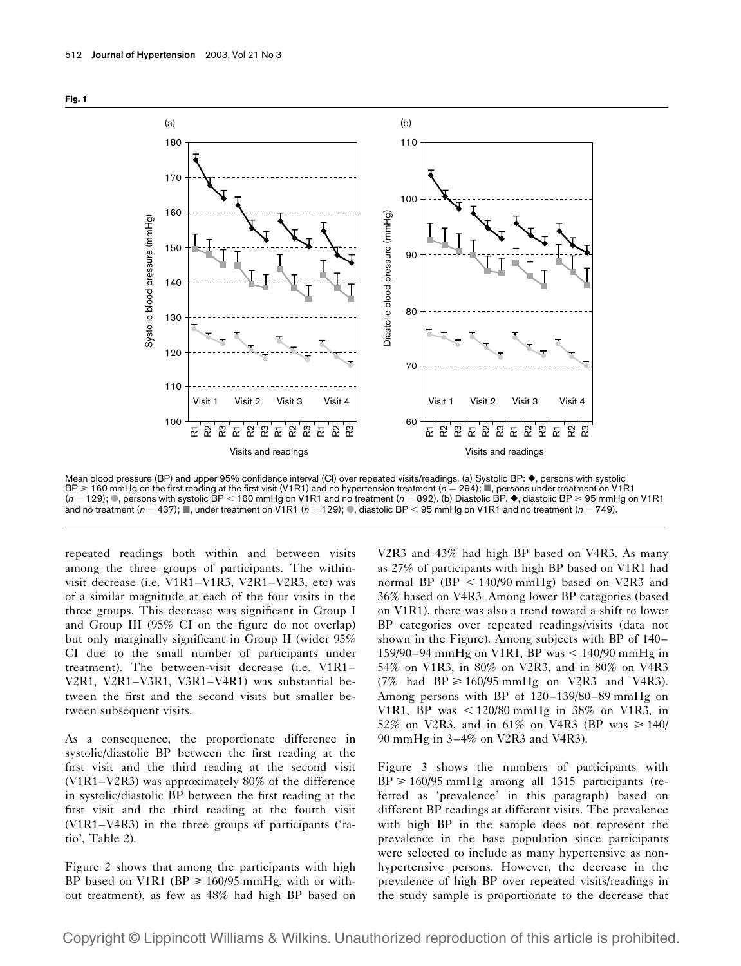<span id="page-3-0"></span>



Mean blood pressure (BP) and upper 95% confidence interval (CI) over repeated visits/readings. (a) Systolic BP:  $\bullet$ , persons with systolic  $BP \ge 160$  mmHg on the first reading at the first visit (V1R1) and no hypertension treatment ( $n = 294$ ); , persons under treatment on V1R1  $(n = 129)$ ;  $\circ$ , persons with systolic BP < 160 mmHg on V1R1 and no treatment (n = 892). (b) Diastolic BP.  $\bullet$ , diastolic BP  $\geq 95$  mmHg on V1R1 and no treatment ( $n = 437$ );  $\blacksquare$ , under treatment on V1R1 ( $n = 129$ );  $\heartsuit$ , diastolic BP < 95 mmHg on V1R1 and no treatment ( $n = 749$ ).

repeated readings both within and between visits among the three groups of participants. The withinvisit decrease (i.e. V1R1–V1R3, V2R1–V2R3, etc) was of a similar magnitude at each of the four visits in the three groups. This decrease was significant in Group I and Group III (95% CI on the figure do not overlap) but only marginally significant in Group II (wider 95% CI due to the small number of participants under treatment). The between-visit decrease (i.e. V1R1– V2R1, V2R1–V3R1, V3R1–V4R1) was substantial between the first and the second visits but smaller between subsequent visits.

As a consequence, the proportionate difference in systolic/diastolic BP between the first reading at the first visit and the third reading at the second visit (V1R1–V2R3) was approximately 80% of the difference in systolic/diastolic BP between the first reading at the first visit and the third reading at the fourth visit (V1R1–V4R3) in the three groups of participants ('ratio', [Table 2\).](#page-4-0)

Figure [2](#page-4-0) shows that among the participants with high BP based on V1R1 (BP  $\geq$  160/95 mmHg, with or without treatment), as few as 48% had high BP based on

V2R3 and 43% had high BP based on V4R3. As many as 27% of participants with high BP based on V1R1 had normal BP ( $BP < 140/90$  mmHg) based on V2R3 and 36% based on V4R3. Among lower BP categories (based on V1R1), there was also a trend toward a shift to lower BP categories over repeated readings/visits (data not shown in the Figure). Among subjects with BP of 140– 159/90–94 mmHg on V1R1, BP was  $<$  140/90 mmHg in 54% on V1R3, in 80% on V2R3, and in 80% on V4R3  $(7\%$  had BP  $\geq 160/95$  mmHg on V2R3 and V4R3). Among persons with BP of 120–139/80–89 mmHg on V1R1, BP was  $\lt 120/80$  mmHg in 38% on V1R3, in 52% on V2R3, and in 61% on V4R3 (BP was  $\geq 140/$ 90 mmHg in 3–4% on V2R3 and V4R3).

Figure [3](#page-5-0) shows the numbers of participants with  $BP \ge 160/95$  mmHg among all 1315 participants (referred as 'prevalence' in this paragraph) based on different BP readings at different visits. The prevalence with high BP in the sample does not represent the prevalence in the base population since participants were selected to include as many hypertensive as nonhypertensive persons. However, the decrease in the prevalence of high BP over repeated visits/readings in the study sample is proportionate to the decrease that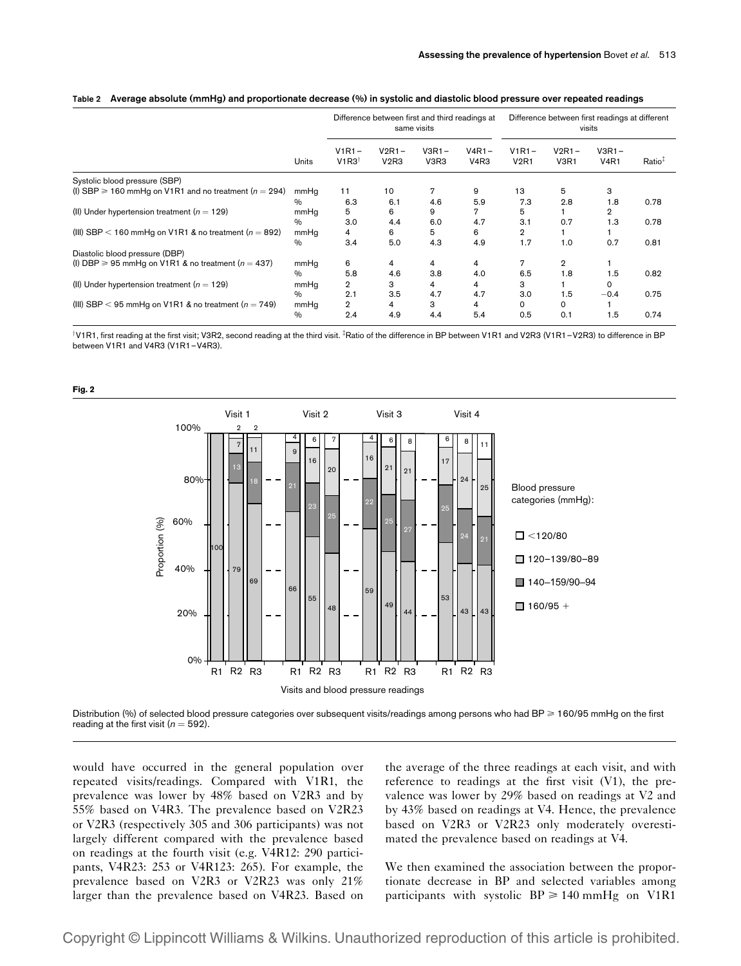|                                                                | Units |                              | Difference between first and third readings at | same visits                            |                                           | Difference between first readings at different<br>visits |                  |                         |           |
|----------------------------------------------------------------|-------|------------------------------|------------------------------------------------|----------------------------------------|-------------------------------------------|----------------------------------------------------------|------------------|-------------------------|-----------|
|                                                                |       | $V1R1 -$<br>$V1R3^{\dagger}$ | $V2R1 -$<br>V <sub>2</sub> R <sub>3</sub>      | V3R1-<br>V <sub>3</sub> R <sub>3</sub> | $V4R1 -$<br>V <sub>4</sub> R <sub>3</sub> | $V1R1 -$<br><b>V2R1</b>                                  | $V2R1 -$<br>V3R1 | $V3R1 -$<br><b>V4R1</b> | $Ratio^*$ |
| Systolic blood pressure (SBP)                                  |       |                              |                                                |                                        |                                           |                                                          |                  |                         |           |
| (I) SBP $\geq 160$ mmHg on V1R1 and no treatment ( $n = 294$ ) | mmHg  | 11                           | 10                                             |                                        | 9                                         | 13                                                       | 5                | 3                       |           |
|                                                                | $\%$  | 6.3                          | 6.1                                            | 4.6                                    | 5.9                                       | 7.3                                                      | 2.8              | 1.8                     | 0.78      |
| (II) Under hypertension treatment ( $n = 129$ )                | mmHq  | 5                            | 6                                              | 9                                      | 7                                         | 5                                                        |                  | 2                       |           |
|                                                                | $\%$  | 3.0                          | 4.4                                            | 6.0                                    | 4.7                                       | 3.1                                                      | 0.7              | 1.3                     | 0.78      |
| (III) SBP < 160 mmHg on V1R1 & no treatment ( $n = 892$ )      | mmHq  | 4                            | 6                                              | 5                                      | 6                                         | $\overline{2}$                                           |                  |                         |           |
|                                                                | $\%$  | 3.4                          | 5.0                                            | 4.3                                    | 4.9                                       | 1.7                                                      | 1.0              | 0.7                     | 0.81      |
| Diastolic blood pressure (DBP)                                 |       |                              |                                                |                                        |                                           |                                                          |                  |                         |           |
| (I) DBP $\geq 95$ mmHg on V1R1 & no treatment ( $n = 437$ )    | mmHq  | 6                            | 4                                              | 4                                      | 4                                         |                                                          | $\overline{2}$   |                         |           |
|                                                                | $\%$  | 5.8                          | 4.6                                            | 3.8                                    | 4.0                                       | 6.5                                                      | 1.8              | 1.5                     | 0.82      |
| (II) Under hypertension treatment ( $n = 129$ )                | mmHq  | $\overline{2}$               | 3                                              | 4                                      | 4                                         | 3                                                        |                  | 0                       |           |
|                                                                | $\%$  | 2.1                          | 3.5                                            | 4.7                                    | 4.7                                       | 3.0                                                      | 1.5              | $-0.4$                  | 0.75      |
| (III) SBP < 95 mmHg on V1R1 & no treatment ( $n = 749$ )       | mmHg  | 2                            | 4                                              | З                                      | 4                                         | 0                                                        | 0                |                         |           |
|                                                                | %     | 2.4                          | 4.9                                            | 4.4                                    | 5.4                                       | 0.5                                                      | 0.1              | 1.5                     | 0.74      |

#### <span id="page-4-0"></span>Table 2 Average absolute (mmHg) and proportionate decrease (%) in systolic and diastolic blood pressure over repeated readings

<sup>†</sup>V1R1, first reading at the first visit; V3R2, second reading at the third visit. <sup>‡</sup>Ratio of the difference in BP between V1R1 and V2R3 (V1R1-V2R3) to difference in BP between V1R1 and V4R3 (V1R1–V4R3).

Fig. 2



Distribution (%) of selected blood pressure categories over subsequent visits/readings among persons who had BP ≥ 160/95 mmHg on the first reading at the first visit ( $n = 592$ ).

would have occurred in the general population over repeated visits/readings. Compared with V1R1, the prevalence was lower by 48% based on V2R3 and by 55% based on V4R3. The prevalence based on V2R23 or V2R3 (respectively 305 and 306 participants) was not largely different compared with the prevalence based on readings at the fourth visit (e.g. V4R12: 290 participants, V4R23: 253 or V4R123: 265). For example, the prevalence based on V2R3 or V2R23 was only 21% larger than the prevalence based on V4R23. Based on the average of the three readings at each visit, and with reference to readings at the first visit (V1), the prevalence was lower by 29% based on readings at V2 and by 43% based on readings at V4. Hence, the prevalence based on V2R3 or V2R23 only moderately overestimated the prevalence based on readings at V4.

We then examined the association between the proportionate decrease in BP and selected variables among participants with systolic  $BP \ge 140$  mmHg on V1R1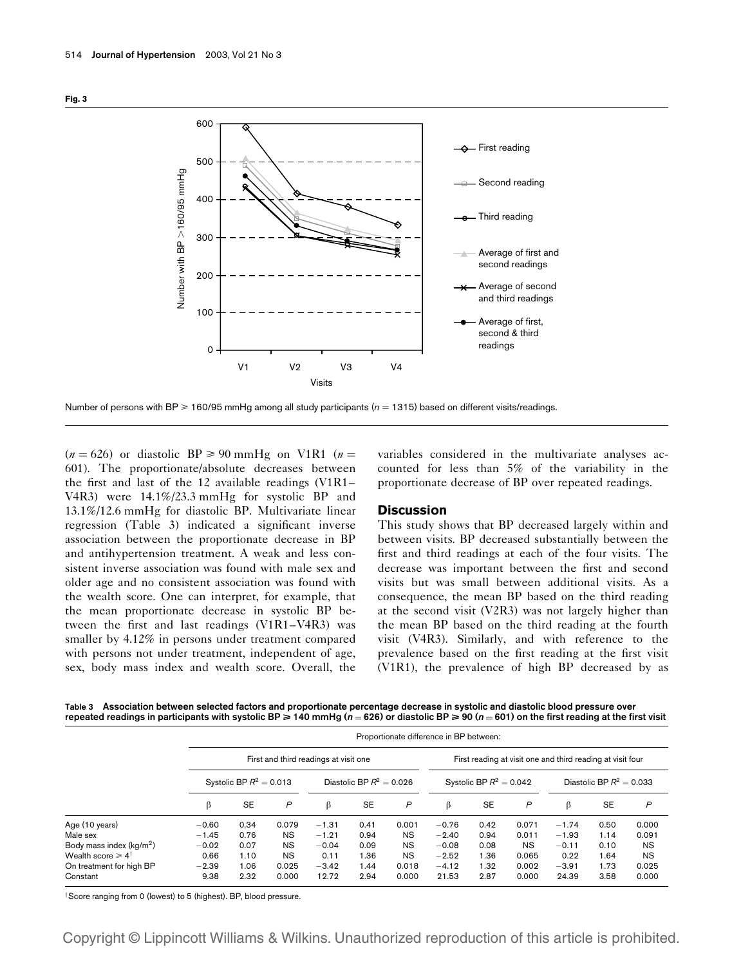<span id="page-5-0"></span>

Number of persons with BP  $\geq 160/95$  mmHg among all study participants ( $n = 1315$ ) based on different visits/readings.

 $(n = 626)$  or diastolic BP  $\geq 90$  mmHg on V1R1 (n = 601). The proportionate/absolute decreases between the first and last of the 12 available readings (V1R1– V4R3) were 14.1%/23.3 mmHg for systolic BP and 13.1%/12.6 mmHg for diastolic BP. Multivariate linear regression (Table 3) indicated a significant inverse association between the proportionate decrease in BP and antihypertension treatment. A weak and less consistent inverse association was found with male sex and older age and no consistent association was found with the wealth score. One can interpret, for example, that the mean proportionate decrease in systolic BP between the first and last readings (V1R1–V4R3) was smaller by 4.12% in persons under treatment compared with persons not under treatment, independent of age, sex, body mass index and wealth score. Overall, the

variables considered in the multivariate analyses accounted for less than 5% of the variability in the proportionate decrease of BP over repeated readings.

#### **Discussion**

This study shows that BP decreased largely within and between visits. BP decreased substantially between the first and third readings at each of the four visits. The decrease was important between the first and second visits but was small between additional visits. As a consequence, the mean BP based on the third reading at the second visit (V2R3) was not largely higher than the mean BP based on the third reading at the fourth visit (V4R3). Similarly, and with reference to the prevalence based on the first reading at the first visit (V1R1), the prevalence of high BP decreased by as

Table 3 Association between selected factors and proportionate percentage decrease in systolic and diastolic blood pressure over repeated readings in participants with systolic BP  $\geq$  140 mmHg (n = 626) or diastolic BP  $\geq$  90 (n = 601) on the first reading at the first visit

|                                      |                           | Proportionate difference in BP between: |                            |         |           |                           |         |                                                            |                            |         |           |           |  |
|--------------------------------------|---------------------------|-----------------------------------------|----------------------------|---------|-----------|---------------------------|---------|------------------------------------------------------------|----------------------------|---------|-----------|-----------|--|
|                                      |                           | First and third readings at visit one   |                            |         |           |                           |         | First reading at visit one and third reading at visit four |                            |         |           |           |  |
|                                      | Systolic BP $R^2 = 0.013$ |                                         | Diastolic BP $R^2 = 0.026$ |         |           | Systolic BP $R^2 = 0.042$ |         |                                                            | Diastolic BP $R^2 = 0.033$ |         |           |           |  |
|                                      | β                         | <b>SE</b>                               | P                          | β       | <b>SE</b> | P                         | ß       | <b>SE</b>                                                  | P                          | β       | <b>SE</b> | P         |  |
| Age (10 years)                       | $-0.60$                   | 0.34                                    | 0.079                      | $-1.31$ | 0.41      | 0.001                     | $-0.76$ | 0.42                                                       | 0.071                      | $-1.74$ | 0.50      | 0.000     |  |
| Male sex                             | $-1.45$                   | 0.76                                    | <b>NS</b>                  | $-1.21$ | 0.94      | <b>NS</b>                 | $-2.40$ | 0.94                                                       | 0.011                      | $-1.93$ | 1.14      | 0.091     |  |
| Body mass index (kg/m <sup>2</sup> ) | $-0.02$                   | 0.07                                    | <b>NS</b>                  | $-0.04$ | 0.09      | <b>NS</b>                 | $-0.08$ | 0.08                                                       | <b>NS</b>                  | $-0.11$ | 0.10      | <b>NS</b> |  |
| Wealth score $\geq 4^{\dagger}$      | 0.66                      | 1.10                                    | <b>NS</b>                  | 0.11    | 1.36      | <b>NS</b>                 | $-2.52$ | 1.36                                                       | 0.065                      | 0.22    | 1.64      | <b>NS</b> |  |
| On treatment for high BP             | $-2.39$                   | 1.06                                    | 0.025                      | $-3.42$ | 1.44      | 0.018                     | $-4.12$ | 1.32                                                       | 0.002                      | $-3.91$ | 1.73      | 0.025     |  |
| Constant                             | 9.38                      | 2.32                                    | 0.000                      | 12.72   | 2.94      | 0.000                     | 21.53   | 2.87                                                       | 0.000                      | 24.39   | 3.58      | 0.000     |  |

<sup>†</sup>Score ranging from 0 (lowest) to 5 (highest). BP, blood pressure.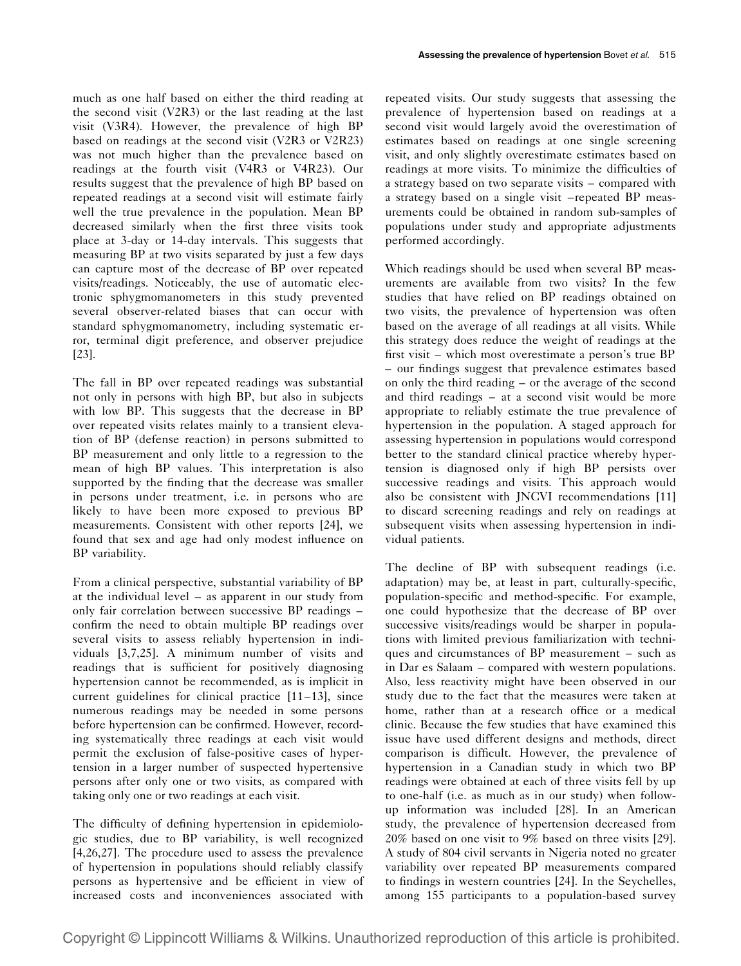much as one half based on either the third reading at the second visit (V2R3) or the last reading at the last visit (V3R4). However, the prevalence of high BP based on readings at the second visit (V2R3 or V2R23) was not much higher than the prevalence based on readings at the fourth visit (V4R3 or V4R23). Our results suggest that the prevalence of high BP based on repeated readings at a second visit will estimate fairly well the true prevalence in the population. Mean BP decreased similarly when the first three visits took place at 3-day or 14-day intervals. This suggests that measuring BP at two visits separated by just a few days can capture most of the decrease of BP over repeated visits/readings. Noticeably, the use of automatic electronic sphygmomanometers in this study prevented several observer-related biases that can occur with standard sphygmomanometry, including systematic error, terminal digit preference, and observer prejudice [\[23\]](#page-7-0).

The fall in BP over repeated readings was substantial not only in persons with high BP, but also in subjects with low BP. This suggests that the decrease in BP over repeated visits relates mainly to a transient elevation of BP (defense reaction) in persons submitted to BP measurement and only little to a regression to the mean of high BP values. This interpretation is also supported by the finding that the decrease was smaller in persons under treatment, i.e. in persons who are likely to have been more exposed to previous BP measurements. Consistent with other reports [\[24\]](#page-7-0), we found that sex and age had only modest influence on BP variability.

From a clinical perspective, substantial variability of BP at the individual level – as apparent in our study from only fair correlation between successive BP readings – confirm the need to obtain multiple BP readings over several visits to assess reliably hypertension in individuals [\[3,7,25\]](#page-7-0). A minimum number of visits and readings that is sufficient for positively diagnosing hypertension cannot be recommended, as is implicit in current guidelines for clinical practice [\[11–13\]](#page-7-0), since numerous readings may be needed in some persons before hypertension can be confirmed. However, recording systematically three readings at each visit would permit the exclusion of false-positive cases of hypertension in a larger number of suspected hypertensive persons after only one or two visits, as compared with taking only one or two readings at each visit.

The difficulty of defining hypertension in epidemiologic studies, due to BP variability, is well recognized [\[4,26,](#page-7-0)[27\]](#page-8-0). The procedure used to assess the prevalence of hypertension in populations should reliably classify persons as hypertensive and be efficient in view of increased costs and inconveniences associated with

repeated visits. Our study suggests that assessing the prevalence of hypertension based on readings at a second visit would largely avoid the overestimation of estimates based on readings at one single screening visit, and only slightly overestimate estimates based on readings at more visits. To minimize the difficulties of a strategy based on two separate visits – compared with a strategy based on a single visit –repeated BP measurements could be obtained in random sub-samples of populations under study and appropriate adjustments performed accordingly.

Which readings should be used when several BP measurements are available from two visits? In the few studies that have relied on BP readings obtained on two visits, the prevalence of hypertension was often based on the average of all readings at all visits. While this strategy does reduce the weight of readings at the first visit – which most overestimate a person's true BP – our findings suggest that prevalence estimates based on only the third reading – or the average of the second and third readings – at a second visit would be more appropriate to reliably estimate the true prevalence of hypertension in the population. A staged approach for assessing hypertension in populations would correspond better to the standard clinical practice whereby hypertension is diagnosed only if high BP persists over successive readings and visits. This approach would also be consistent with JNCVI recommendations [\[11\]](#page-7-0) to discard screening readings and rely on readings at subsequent visits when assessing hypertension in individual patients.

The decline of BP with subsequent readings (i.e. adaptation) may be, at least in part, culturally-specific, population-specific and method-specific. For example, one could hypothesize that the decrease of BP over successive visits/readings would be sharper in populations with limited previous familiarization with techniques and circumstances of BP measurement – such as in Dar es Salaam – compared with western populations. Also, less reactivity might have been observed in our study due to the fact that the measures were taken at home, rather than at a research office or a medical clinic. Because the few studies that have examined this issue have used different designs and methods, direct comparison is difficult. However, the prevalence of hypertension in a Canadian study in which two BP readings were obtained at each of three visits fell by up to one-half (i.e. as much as in our study) when followup information was included [\[28\]](#page-8-0). In an American study, the prevalence of hypertension decreased from 20% based on one visit to 9% based on three visits [\[29\]](#page-8-0). A study of 804 civil servants in Nigeria noted no greater variability over repeated BP measurements compared to findings in western countries [\[24\]](#page-7-0). In the Seychelles, among 155 participants to a population-based survey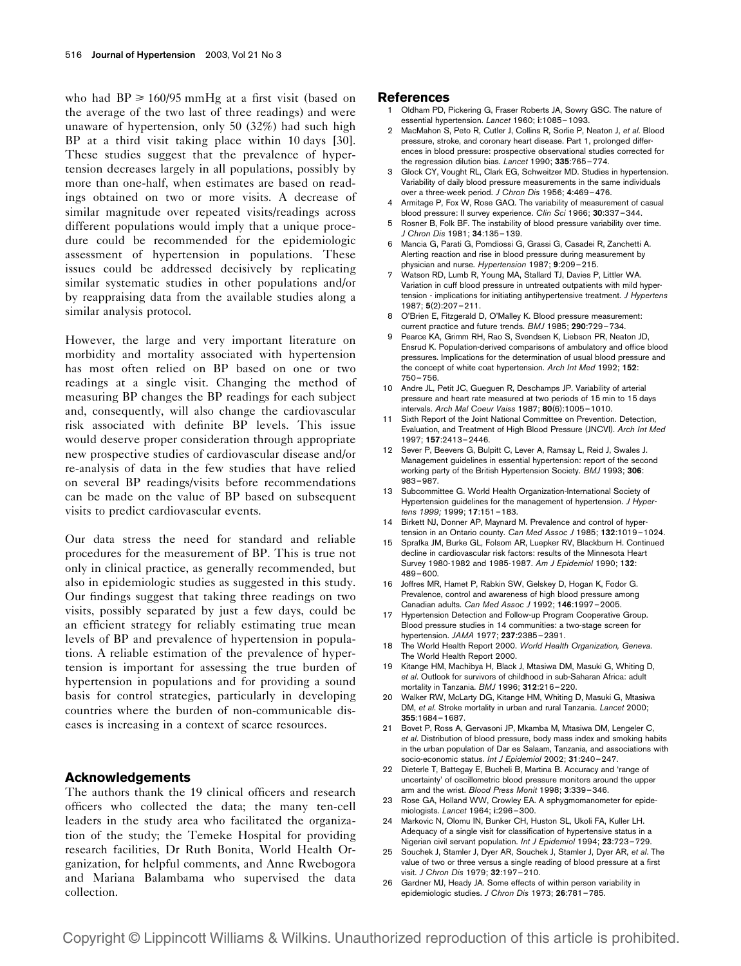<span id="page-7-0"></span>who had  $BP \ge 160/95$  mmHg at a first visit (based on the average of the two last of three readings) and were unaware of hypertension, only 50 (32%) had such high BP at a third visit taking place within 10 days [\[30\]](#page-8-0). These studies suggest that the prevalence of hypertension decreases largely in all populations, possibly by more than one-half, when estimates are based on readings obtained on two or more visits. A decrease of similar magnitude over repeated visits/readings across different populations would imply that a unique procedure could be recommended for the epidemiologic assessment of hypertension in populations. These issues could be addressed decisively by replicating similar systematic studies in other populations and/or by reappraising data from the available studies along a similar analysis protocol.

However, the large and very important literature on morbidity and mortality associated with hypertension has most often relied on BP based on one or two readings at a single visit. Changing the method of measuring BP changes the BP readings for each subject and, consequently, will also change the cardiovascular risk associated with definite BP levels. This issue would deserve proper consideration through appropriate new prospective studies of cardiovascular disease and/or re-analysis of data in the few studies that have relied on several BP readings/visits before recommendations can be made on the value of BP based on subsequent visits to predict cardiovascular events.

Our data stress the need for standard and reliable procedures for the measurement of BP. This is true not only in clinical practice, as generally recommended, but also in epidemiologic studies as suggested in this study. Our findings suggest that taking three readings on two visits, possibly separated by just a few days, could be an efficient strategy for reliably estimating true mean levels of BP and prevalence of hypertension in populations. A reliable estimation of the prevalence of hypertension is important for assessing the true burden of hypertension in populations and for providing a sound basis for control strategies, particularly in developing countries where the burden of non-communicable diseases is increasing in a context of scarce resources.

### Acknowledgements

The authors thank the 19 clinical officers and research officers who collected the data; the many ten-cell leaders in the study area who facilitated the organization of the study; the Temeke Hospital for providing research facilities, Dr Ruth Bonita, World Health Organization, for helpful comments, and Anne Rwebogora and Mariana Balambama who supervised the data collection.

#### References

- 1 Oldham PD, Pickering G, Fraser Roberts JA, Sowry GSC. The nature of essential hypertension. Lancet 1960; i:1085–1093.
- 2 MacMahon S, Peto R, Cutler J, Collins R, Sorlie P, Neaton J, et al. Blood pressure, stroke, and coronary heart disease. Part 1, prolonged differences in blood pressure: prospective observational studies corrected for the regression dilution bias. Lancet 1990; 335:765-774.
- 3 Glock CY, Vought RL, Clark EG, Schweitzer MD. Studies in hypertension. Variability of daily blood pressure measurements in the same individuals over a three-week period. J Chron Dis 1956; 4:469–476.
- 4 Armitage P, Fox W, Rose GAQ. The variability of measurement of casual blood pressure: II survey experience. Clin Sci 1966; 30:337–344.
- 5 Rosner B, Folk BF. The instability of blood pressure variability over time. J Chron Dis 1981; 34:135–139.
- 6 Mancia G, Parati G, Pomdiossi G, Grassi G, Casadei R, Zanchetti A. Alerting reaction and rise in blood pressure during measurement by physician and nurse. Hypertension 1987; 9:209–215.
- 7 Watson RD, Lumb R, Young MA, Stallard TJ, Davies P, Littler WA. Variation in cuff blood pressure in untreated outpatients with mild hypertension - implications for initiating antihypertensive treatment. J Hypertens 1987; 5(2):207–211.
- 8 O'Brien E, Fitzgerald D, O'Malley K. Blood pressure measurement: current practice and future trends. BMJ 1985; 290:729–734.
- 9 Pearce KA, Grimm RH, Rao S, Svendsen K, Liebson PR, Neaton JD, Ensrud K. Population-derived comparisons of ambulatory and office blood pressures. Implications for the determination of usual blood pressure and the concept of white coat hypertension. Arch Int Med 1992; 152: 750–756.
- 10 Andre JL, Petit JC, Gueguen R, Deschamps JP. Variability of arterial pressure and heart rate measured at two periods of 15 min to 15 days intervals. Arch Mal Coeur Vaiss 1987; 80(6):1005–1010.
- 11 Sixth Report of the Joint National Committee on Prevention. Detection, Evaluation, and Treatment of High Blood Pressure (JNCVI). Arch Int Med 1997; 157:2413–2446.
- 12 Sever P, Beevers G, Bulpitt C, Lever A, Ramsay L, Reid J, Swales J. Management guidelines in essential hypertension: report of the second working party of the British Hypertension Society. BMJ 1993: 306: 983–987.
- 13 Subcommittee G. World Health Organization-International Society of Hypertension guidelines for the management of hypertension. J Hypertens 1999; 1999; 17:151–183.
- 14 Birkett NJ, Donner AP, Maynard M. Prevalence and control of hypertension in an Ontario county. Can Med Assoc J 1985; 132:1019–1024.
- 15 Sprafka JM, Burke GL, Folsom AR, Luepker RV, Blackburn H. Continued decline in cardiovascular risk factors: results of the Minnesota Heart Survey 1980-1982 and 1985-1987. Am J Epidemiol 1990; 132: 489–600.
- 16 Joffres MR, Hamet P, Rabkin SW, Gelskey D, Hogan K, Fodor G. Prevalence, control and awareness of high blood pressure among Canadian adults. Can Med Assoc J 1992; 146:1997–2005.
- 17 Hypertension Detection and Follow-up Program Cooperative Group. Blood pressure studies in 14 communities: a two-stage screen for hypertension. JAMA 1977; 237:2385–2391.
- 18 The World Health Report 2000. World Health Organization, Geneva. The World Health Report 2000.
- 19 Kitange HM, Machibya H, Black J, Mtasiwa DM, Masuki G, Whiting D, et al. Outlook for survivors of childhood in sub-Saharan Africa: adult mortality in Tanzania. BMJ 1996; 312:216–220.
- 20 Walker RW, McLarty DG, Kitange HM, Whiting D, Masuki G, Mtasiwa DM, et al. Stroke mortality in urban and rural Tanzania. Lancet 2000; 355:1684–1687.
- 21 Bovet P, Ross A, Gervasoni JP, Mkamba M, Mtasiwa DM, Lengeler C, et al. Distribution of blood pressure, body mass index and smoking habits in the urban population of Dar es Salaam, Tanzania, and associations with socio-economic status. Int J Epidemiol 2002; 31:240-247.
- 22 Dieterle T, Battegay E, Bucheli B, Martina B. Accuracy and 'range of uncertainty' of oscillometric blood pressure monitors around the upper arm and the wrist. Blood Press Monit 1998; 3:339–346.
- 23 Rose GA, Holland WW, Crowley EA. A sphygmomanometer for epidemiologists. Lancet 1964; i:296–300.
- 24 Markovic N, Olomu IN, Bunker CH, Huston SL, Ukoli FA, Kuller LH. Adequacy of a single visit for classification of hypertensive status in a Nigerian civil servant population. Int J Epidemiol 1994; 23:723–729.
- 25 Souchek J, Stamler J, Dyer AR, Souchek J, Stamler J, Dyer AR, et al. The value of two or three versus a single reading of blood pressure at a first visit. J Chron Dis 1979; 32:197–210.
- 26 Gardner MJ, Heady JA. Some effects of within person variability in epidemiologic studies. J Chron Dis 1973; 26:781–785.